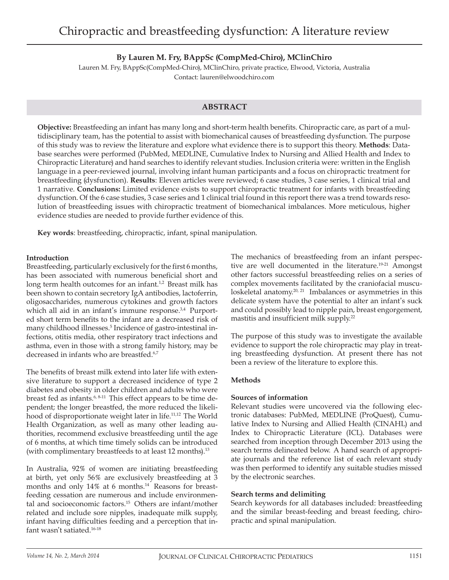# **By Lauren M. Fry, BAppSc (CompMed-Chiro), MClinChiro**

Lauren M. Fry, BAppSc(CompMed-Chiro), MClinChiro, private practice, Elwood, Victoria, Australia Contact: lauren@elwoodchiro.com

## **ABSTRACT**

**Objective:** Breastfeeding an infant has many long and short-term health benefits. Chiropractic care, as part of a multidisciplinary team, has the potential to assist with biomechanical causes of breastfeeding dysfunction. The purpose of this study was to review the literature and explore what evidence there is to support this theory. **Methods**: Database searches were performed (PubMed, MEDLINE, Cumulative Index to Nursing and Allied Health and Index to Chiropractic Literature) and hand searches to identify relevant studies. Inclusion criteria were: written in the English language in a peer-reviewed journal, involving infant human participants and a focus on chiropractic treatment for breastfeeding (dysfunction). **Results**: Eleven articles were reviewed; 6 case studies, 3 case series, 1 clinical trial and 1 narrative. **Conclusions:** Limited evidence exists to support chiropractic treatment for infants with breastfeeding dysfunction. Of the 6 case studies, 3 case series and 1 clinical trial found in this report there was a trend towards resolution of breastfeeding issues with chiropractic treatment of biomechanical imbalances. More meticulous, higher evidence studies are needed to provide further evidence of this.

**Key words**: breastfeeding, chiropractic, infant, spinal manipulation.

### **Introduction**

Breastfeeding, particularly exclusively for the first 6 months, has been associated with numerous beneficial short and long term health outcomes for an infant.<sup>1,2</sup> Breast milk has been shown to contain secretory IgA antibodies, lactoferrin, oligosaccharides, numerous cytokines and growth factors which all aid in an infant's immune response.<sup>3,4</sup> Purported short term benefits to the infant are a decreased risk of many childhood illnesses.5 Incidence of gastro-intestinal infections, otitis media, other respiratory tract infections and asthma, even in those with a strong family history, may be decreased in infants who are breastfed.<sup>6,7</sup>

The benefits of breast milk extend into later life with extensive literature to support a decreased incidence of type 2 diabetes and obesity in older children and adults who were breast fed as infants.<sup>6, 8-11</sup> This effect appears to be time dependent; the longer breastfed, the more reduced the likelihood of disproportionate weight later in life.<sup>11,12</sup> The World Health Organization, as well as many other leading authorities, recommend exclusive breastfeeding until the age of 6 months, at which time timely solids can be introduced (with complimentary breastfeeds to at least 12 months).<sup>13</sup>

In Australia, 92% of women are initiating breastfeeding at birth, yet only 56% are exclusively breastfeeding at 3 months and only 14% at 6 months.14 Reasons for breastfeeding cessation are numerous and include environmental and socioeconomic factors.15 Others are infant/mother related and include sore nipples, inadequate milk supply, infant having difficulties feeding and a perception that infant wasn't satiated.16-18

The mechanics of breastfeeding from an infant perspective are well documented in the literature.<sup>19-21</sup> Amongst other factors successful breastfeeding relies on a series of complex movements facilitated by the craniofacial musculoskeletal anatomy.<sup>20, 21</sup> Imbalances or asymmetries in this delicate system have the potential to alter an infant's suck and could possibly lead to nipple pain, breast engorgement, mastitis and insufficient milk supply.22

The purpose of this study was to investigate the available evidence to support the role chiropractic may play in treating breastfeeding dysfunction. At present there has not been a review of the literature to explore this.

## **Methods**

## **Sources of information**

Relevant studies were uncovered via the following electronic databases: PubMed, MEDLINE (ProQuest), Cumulative Index to Nursing and Allied Health (CINAHL) and Index to Chiropractic Literature (ICL). Databases were searched from inception through December 2013 using the search terms delineated below. A hand search of appropriate journals and the reference list of each relevant study was then performed to identify any suitable studies missed by the electronic searches.

## **Search terms and delimiting**

Search keywords for all databases included: breastfeeding and the similar breast-feeding and breast feeding, chiropractic and spinal manipulation.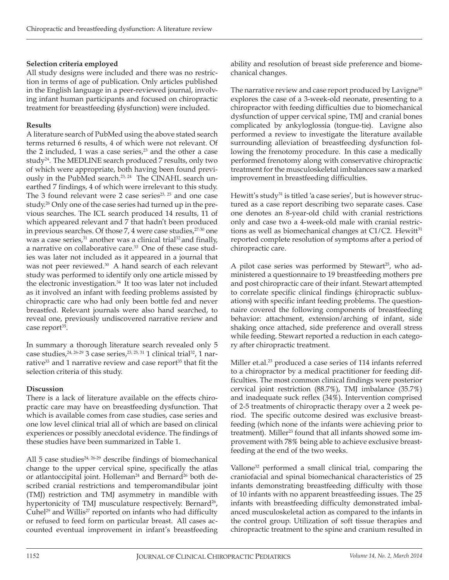# **Selection criteria employed**

All study designs were included and there was no restriction in terms of age of publication. Only articles published in the English language in a peer-reviewed journal, involving infant human participants and focused on chiropractic treatment for breastfeeding (dysfunction) were included.

# **Results**

A literature search of PubMed using the above stated search terms returned 6 results, 4 of which were not relevant. Of the 2 included, 1 was a case series, $2<sup>3</sup>$  and the other a case study<sup>24</sup>. The MEDLINE search produced 7 results, only two of which were appropriate, both having been found previously in the PubMed search.<sup>23, 24</sup> The CINAHL search unearthed 7 findings, 4 of which were irrelevant to this study. The 3 found relevant were 2 case series $^{23, 25}$  and one case study.<sup>26</sup> Only one of the case series had turned up in the previous searches. The ICL search produced 14 results, 11 of which appeared relevant and 7 that hadn't been produced in previous searches. Of those  $7, 4$  were case studies, $27-30$  one was a case series, $31$  another was a clinical trial $32$  and finally, a narrative on collaborative care.<sup>33</sup> One of these case studies was later not included as it appeared in a journal that was not peer reviewed.<sup>30</sup> A hand search of each relevant study was performed to identify only one article missed by the electronic investigation.<sup>34</sup> It too was later not included as it involved an infant with feeding problems assisted by chiropractic care who had only been bottle fed and never breastfed. Relevant journals were also hand searched, to reveal one, previously undiscovered narrative review and case report<sup>35</sup>.

In summary a thorough literature search revealed only 5 case studies,  $24, 26-29$  3 case series,  $23, 25, 31$  1 clinical trial<sup>32</sup>, 1 narrative<sup>33</sup> and 1 narrative review and case report<sup>35</sup> that fit the selection criteria of this study.

# **Discussion**

There is a lack of literature available on the effects chiropractic care may have on breastfeeding dysfunction. That which is available comes from case studies, case series and one low level clinical trial all of which are based on clinical experiences or possibly anecdotal evidence. The findings of these studies have been summarized in Table 1.

All 5 case studies $24, 26-29$  describe findings of biomechanical change to the upper cervical spine, specifically the atlas or atlantoccipital joint. Holleman<sup>24</sup> and Bernard<sup>26</sup> both described cranial restrictions and temperomandibular joint (TMJ) restriction and TMJ asymmetry in mandible with hypertonicity of TMJ musculature respectively. Bernard<sup>26</sup>, Cuhel<sup>29</sup> and Willis<sup>27</sup> reported on infants who had difficulty or refused to feed form on particular breast. All cases accounted eventual improvement in infant's breastfeeding

ability and resolution of breast side preference and biomechanical changes.

The narrative review and case report produced by Lavigne<sup>35</sup> explores the case of a 3-week-old neonate, presenting to a chiropractor with feeding difficulties due to biomechanical dysfunction of upper cervical spine, TMJ and cranial bones complicated by ankyloglossia (tongue-tie). Lavigne also performed a review to investigate the literature available surrounding alleviation of breastfeeding dysfunction following the frenotomy procedure. In this case a medically performed frenotomy along with conservative chiropractic treatment for the musculoskeletal imbalances saw a marked improvement in breastfeeding difficulties.

Hewitt's study<sup>31</sup> is titled 'a case series', but is however structured as a case report describing two separate cases. Case one denotes an 8-year-old child with cranial restrictions only and case two a 4-week-old male with cranial restrictions as well as biomechanical changes at  $C1/C2$ . Hewitt $31$ reported complete resolution of symptoms after a period of chiropractic care.

A pilot case series was performed by Stewart<sup>25</sup>, who administered a questionnaire to 19 breastfeeding mothers pre and post chiropractic care of their infant. Stewart attempted to correlate specific clinical findings (chiropractic subluxations) with specific infant feeding problems. The questionnaire covered the following components of breastfeeding behavior: attachment, extension/arching of infant, side shaking once attached, side preference and overall stress while feeding. Stewart reported a reduction in each category after chiropractic treatment.

Miller et.al.<sup>23</sup> produced a case series of 114 infants referred to a chiropractor by a medical practitioner for feeding difficulties. The most common clinical findings were posterior cervical joint restriction (88.7%), TMJ imbalance (35.7%) and inadequate suck reflex (34%). Intervention comprised of 2-5 treatments of chiropractic therapy over a 2 week period. The specific outcome desired was exclusive breastfeeding (which none of the infants were achieving prior to treatment). Miller<sup>23</sup> found that all infants showed some improvement with 78% being able to achieve exclusive breastfeeding at the end of the two weeks.

Vallone<sup>32</sup> performed a small clinical trial, comparing the craniofacial and spinal biomechanical characteristics of 25 infants demonstrating breastfeeding difficulty with those of 10 infants with no apparent breastfeeding issues. The 25 infants with breastfeeding difficulty demonstrated imbalanced musculoskeletal action as compared to the infants in the control group. Utilization of soft tissue therapies and chiropractic treatment to the spine and cranium resulted in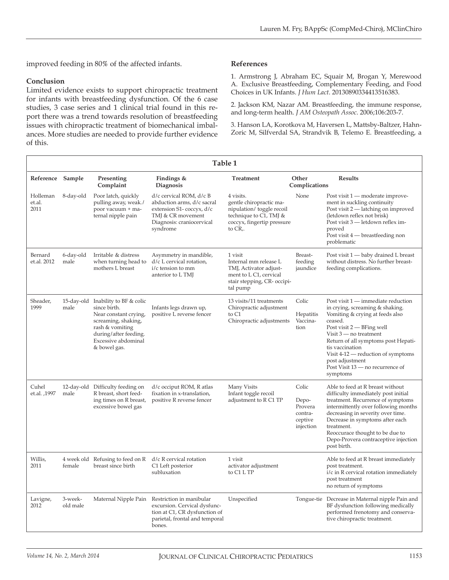improved feeding in 80% of the affected infants.

### **Conclusion**

Limited evidence exists to support chiropractic treatment for infants with breastfeeding dysfunction. Of the 6 case studies, 3 case series and 1 clinical trial found in this report there was a trend towards resolution of breastfeeding issues with chiropractic treatment of biomechanical imbalances. More studies are needed to provide further evidence of this.

### **References**

1. Armstrong J, Abraham EC, Squair M, Brogan Y, Merewood A. Exclusive Breastfeeding, Complementary Feeding, and Food Choices in UK Infants. *J Hum Lact*. 20130890334413516383.

2. Jackson KM, Nazar AM. Breastfeeding, the immune response, and long-term health. *J AM Osteopath Assoc*. 2006;106:203-7.

3. Hanson LA, Korotkova M, Haversen L, Mattsby-Baltzer, Hahn-Zoric M, Silfverdal SA, Strandvik B, Telemo E. Breastfeeding, a

| Table 1                    |                     |                                                                                                                                                                                       |                                                                                                                                                 |                                                                                                                                         |                                                              |                                                                                                                                                                                                                                                                                                                                                     |  |
|----------------------------|---------------------|---------------------------------------------------------------------------------------------------------------------------------------------------------------------------------------|-------------------------------------------------------------------------------------------------------------------------------------------------|-----------------------------------------------------------------------------------------------------------------------------------------|--------------------------------------------------------------|-----------------------------------------------------------------------------------------------------------------------------------------------------------------------------------------------------------------------------------------------------------------------------------------------------------------------------------------------------|--|
| Reference Sample           |                     | Presenting<br>Complaint                                                                                                                                                               | Findings &<br><b>Diagnosis</b>                                                                                                                  | Treatment                                                                                                                               | Other<br>Complications                                       | <b>Results</b>                                                                                                                                                                                                                                                                                                                                      |  |
| Holleman<br>et.al.<br>2011 | 8-day-old           | Poor latch, quickly<br>pulling away, weak./<br>poor vacuum + ma-<br>ternal nipple pain                                                                                                | d/c cervical ROM, d/c B<br>abduction arms, d/c sacral<br>extension S1-coccyx, d/c<br>TMJ & CR movement<br>Diagnosis: craniocervical<br>syndrome | 4 visits.<br>gentle chiropractic ma-<br>nipulation/ toggle recoil<br>technique to $C1$ , TMJ &<br>coccyx, fingertip pressure<br>to CR,. | None                                                         | Post visit 1 — moderate improve-<br>ment in suckling continuity<br>Post visit 2 — latching on improved<br>(letdown reflex not brisk)<br>Post visit 3 - letdown reflex im-<br>proved<br>Post visit 4 — breastfeeding non<br>problematic                                                                                                              |  |
| Bernard<br>et.al. 2012     | 6-day-old<br>male   | Irritable & distress<br>when turning head to<br>mothers L breast                                                                                                                      | Asymmetry in mandible,<br>d/c L cervical rotation,<br>i/c tension to mm<br>anterior to L TMJ                                                    | 1 visit<br>Internal mm release L<br>TMJ, Activator adjust-<br>ment to L C1, cervical<br>stair stepping, CR- occipi-<br>tal pump         | Breast-<br>feeding<br>jaundice                               | Post visit 1 - baby drained L breast<br>without distress. No further breast-<br>feeding complications.                                                                                                                                                                                                                                              |  |
| Sheader,<br>1999           | male                | 15-day-old Inability to BF & colic<br>since birth.<br>Near constant crying,<br>screaming, shaking,<br>rash & vomiting<br>during/after feeding.<br>Excessive abdominal<br>& bowel gas. | Infants legs drawn up,<br>positive L reverse fencer                                                                                             | 13 visits/11 treatments<br>Chiropractic adjustment<br>to C1<br>Chiropractic adjustments                                                 | Colic<br>Hepatitis<br>Vaccina-<br>tion                       | Post visit 1 — immediate reduction<br>in crying, screaming & shaking.<br>Vomiting & crying at feeds also<br>ceased.<br>Post visit $2$ $-$ BFing well<br>Visit $3$ — no treatment<br>Return of all symptoms post Hepati-<br>tis vaccination<br>Visit 4-12 - reduction of symptoms<br>post adjustment<br>Post Visit 13 – no recurrence of<br>symptoms |  |
| Cuhel<br>et.al. ,1997      | male                | 12-day-old Difficulty feeding on<br>R breast, short feed-<br>ing times on R breast,<br>excessive bowel gas                                                                            | d/c occiput ROM, R atlas<br>fixation in x-translation,<br>positive R reverse fencer                                                             | Many Visits<br>Infant toggle recoil<br>adjustment to R C1 TP                                                                            | Colic<br>Depo-<br>Provera<br>contra-<br>ceptive<br>injection | Able to feed at R breast without<br>difficulty immediately post initial<br>treatment. Recurrence of symptoms<br>intermittently over following months<br>decreasing in severity over time.<br>Decrease in symptoms after each<br>treatment.<br>Reoccurace thought to be due to<br>Depo-Provera contraceptive injection<br>post birth.                |  |
| Willis,<br>2011            | female              | 4 week old Refusing to feed on R<br>breast since birth                                                                                                                                | d/c R cervical rotation<br>C1 Left posterior<br>subluxation                                                                                     | 1 visit<br>activator adjustment<br>to C1 L TP                                                                                           |                                                              | Able to feed at R breast immediately<br>post treatment.<br>i/c in R cervical rotation immediately<br>post treatment<br>no return of symptoms                                                                                                                                                                                                        |  |
| Lavigne,<br>2012           | 3-week-<br>old male | Maternal Nipple Pain                                                                                                                                                                  | Restriction in manibular<br>excursion. Cervical dysfunc-<br>tion at C1, CR dysfunction of<br>parietal, frontal and temporal<br>bones.           | Unspecified                                                                                                                             |                                                              | Tongue-tie Decrease in Maternal nipple Pain and<br>BF dysfunction following medically<br>performed frenotomy and conserva-<br>tive chiropractic treatment.                                                                                                                                                                                          |  |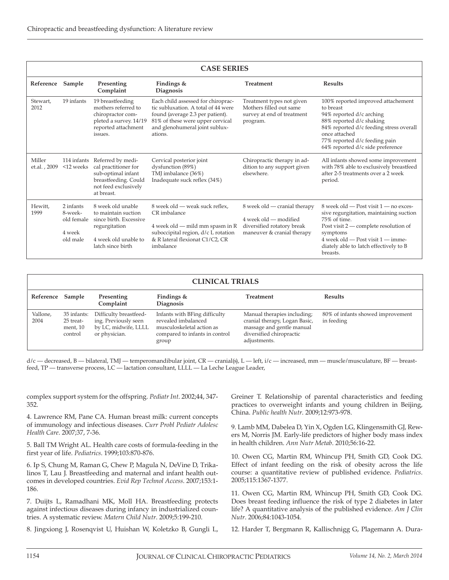| <b>CASE SERIES</b>     |                                                          |                                                                                                                                  |                                                                                                                                                                                                |                                                                                                                   |                                                                                                                                                                                                                                                          |  |  |  |
|------------------------|----------------------------------------------------------|----------------------------------------------------------------------------------------------------------------------------------|------------------------------------------------------------------------------------------------------------------------------------------------------------------------------------------------|-------------------------------------------------------------------------------------------------------------------|----------------------------------------------------------------------------------------------------------------------------------------------------------------------------------------------------------------------------------------------------------|--|--|--|
| Reference              | Sample                                                   | Presenting<br>Complaint                                                                                                          | Findings $&$<br>Diagnosis                                                                                                                                                                      | Treatment                                                                                                         | <b>Results</b>                                                                                                                                                                                                                                           |  |  |  |
| Stewart,<br>2012       | 19 infants                                               | 19 breastfeeding<br>mothers referred to<br>chiropractor com-<br>pleted a survey. 14/19<br>reported attachment<br>issues.         | Each child assessed for chiroprac-<br>tic subluxation. A total of 44 were<br>found (average 2.3 per patient).<br>81% of these were upper cervical<br>and glenohumeral joint sublux-<br>ations. | Treatment types not given<br>Mothers filled out same<br>survey at end of treatment<br>program.                    | 100% reported improved attachement<br>to breast<br>94% reported d/c arching<br>88% reported d/c shaking<br>84% reported d/c feeding stress overall<br>once attached<br>77% reported d/c feeding pain<br>64% reported d/c side preference                 |  |  |  |
| Miller<br>et.al., 2009 | 114 infants<br>$<$ 12 weeks                              | Referred by medi-<br>cal practitioner for<br>sub-optimal infant<br>breastfeeding. Could<br>not feed exclusively<br>at breast.    | Cervical posterior joint<br>dysfunction (89%)<br>TMJ imbalance (36%)<br>Inadequate suck reflex (34%)                                                                                           | Chiropractic therapy in ad-<br>dition to any support given<br>elsewhere.                                          | All infants showed some improvement<br>with 78% able to exclusively breastfeed<br>after 2-5 treatments over a 2 week<br>period.                                                                                                                          |  |  |  |
| Hewitt.<br>1999        | 2 infants<br>8-week-<br>old female<br>4 week<br>old male | 8 week old unable<br>to maintain suction<br>since birth. Excessive<br>regurgitation<br>4 week old unable to<br>latch since birth | 8 week old — weak suck reflex.<br>CR imbalance<br>4 week old — mild mm spasm in R<br>suboccipital region, d/c L rotation<br>& R lateral flexionat C1/C2, CR<br>imbalance                       | 8 week old — cranial therapy<br>4 week old - modified<br>diversified rotatory break<br>maneuver & cranial therapy | 8 week old - Post visit 1 - no exces-<br>sive regurgitation, maintaining suction<br>75% of time.<br>Post visit $2$ — complete resolution of<br>symptoms<br>$4$ week old $-$ Post visit $1 -$ imme-<br>diately able to latch effectively to B<br>breasts. |  |  |  |

| <b>CLINICAL TRIALS</b> |                                                 |                                                                                         |                                                                                                                              |                                                                                                                                       |                                                 |  |  |  |
|------------------------|-------------------------------------------------|-----------------------------------------------------------------------------------------|------------------------------------------------------------------------------------------------------------------------------|---------------------------------------------------------------------------------------------------------------------------------------|-------------------------------------------------|--|--|--|
| Reference              | Sample                                          | Presenting<br>Complaint                                                                 | Findings $&$<br><b>Diagnosis</b>                                                                                             | Treatment                                                                                                                             | <b>Results</b>                                  |  |  |  |
| Vallone,<br>2004       | 35 infants:<br>25 treat-<br>ment, 10<br>control | Difficulty breastfeed-<br>ing. Previously seen<br>by LC, midwife, LLLL<br>or physician. | Infants with BFing difficulty<br>revealed imbalanced<br>musculoskeletal action as<br>compared to infants in control<br>group | Manual therapies including;<br>cranial therapy, Logan Basic,<br>massage and gentle manual<br>diversified chiropractic<br>adjustments. | 80% of infants showed improvement<br>in feeding |  |  |  |

d/c – decreased, B – bilateral, TMJ – temperomandibular joint, CR – cranial(s), L – left, i/c – increased, mm – muscle/musculature, BF – breastfeed, TP – transverse process, LC – lactation consultant, LLLL – La Leche League Leader,

complex support system for the offspring. *Pediatr Int*. 2002;44, 347- 352.

4. Lawrence RM, Pane CA. Human breast milk: current concepts of immunology and infectious diseases. *Curr Probl Pediatr Adolesc Health Care*. 2007;37, 7-36.

5. Ball TM Wright AL. Health care costs of formula-feeding in the first year of life. *Pediatrics*. 1999;103:870-876.

6. Ip S, Chung M, Raman G, Chew P, Magula N, DeVine D, Trikalinos T, Lau J. Breastfeeding and maternal and infant health outcomes in developed countries. *Evid Rep Technol Access*. 2007;153:1- 186.

7. Duijts L, Ramadhani MK, Moll HA. Breastfeeding protects against infectious diseases during infancy in industrialized countries. A systematic review. *Matern Child Nutr*. 2009;5:199-210.

8. Jingxiong J, Rosenqvist U, Huishan W, Koletzko B, Gungli L,

Greiner T. Relationship of parental characteristics and feeding practices to overweight infants and young children in Beijing, China. *Public health Nutr*. 2009;12:973-978.

9. Lamb MM, Dabelea D, Yin X, Ogden LG, Klingensmith GJ, Rewers M, Norris JM. Early-life predictors of higher body mass index in health children. *Ann Nutr Metab*. 2010;56:16-22.

10. Owen CG, Martin RM, Whincup PH, Smith GD, Cook DG. Effect of infant feeding on the risk of obesity across the life course: a quantitative review of published evidence. *Pediatrics*. 2005;115:1367-1377.

11. Owen CG, Martin RM, Whincup PH, Smith GD, Cook DG. Does breast feeding influence the risk of type 2 diabetes in later life? A quantitative analysis of the published evidence. *Am J Clin Nutr*. 2006;84:1043-1054.

12. Harder T, Bergmann R, Kallischnigg G, Plagemann A. Dura-